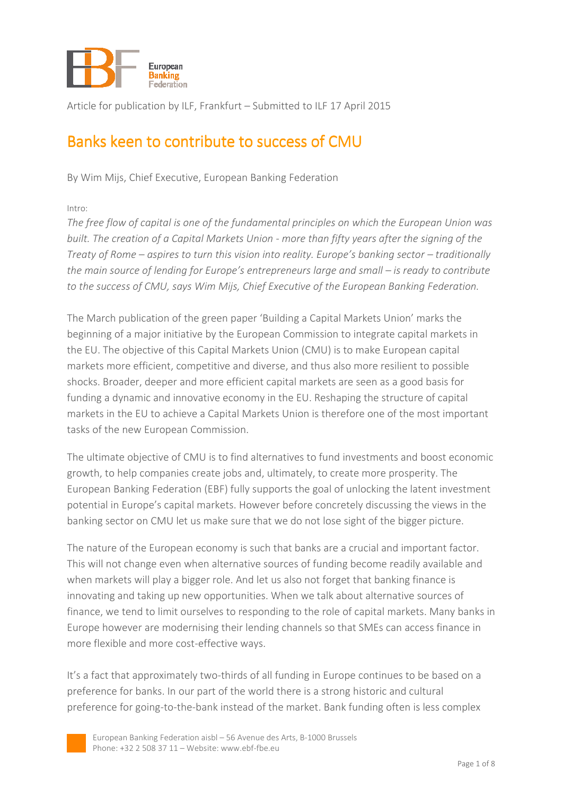

Article for publication by ILF, Frankfurt – Submitted to ILF 17 April 2015

# Banks keen to contribute to success of CMU

By Wim Mijs, Chief Executive, European Banking Federation

Intro:

*The free flow of capital is one of the fundamental principles on which the European Union was built. The creation of a Capital Markets Union - more than fifty years after the signing of the Treaty of Rome – aspires to turn this vision into reality. Europe's banking sector – traditionally the main source of lending for Europe's entrepreneurs large and small – is ready to contribute to the success of CMU, says Wim Mijs, Chief Executive of the European Banking Federation.* 

The March publication of the green paper 'Building a Capital Markets Union' marks the beginning of a major initiative by the European Commission to integrate capital markets in the EU. The objective of this Capital Markets Union (CMU) is to make European capital markets more efficient, competitive and diverse, and thus also more resilient to possible shocks. Broader, deeper and more efficient capital markets are seen as a good basis for funding a dynamic and innovative economy in the EU. Reshaping the structure of capital markets in the EU to achieve a Capital Markets Union is therefore one of the most important tasks of the new European Commission.

The ultimate objective of CMU is to find alternatives to fund investments and boost economic growth, to help companies create jobs and, ultimately, to create more prosperity. The European Banking Federation (EBF) fully supports the goal of unlocking the latent investment potential in Europe's capital markets. However before concretely discussing the views in the banking sector on CMU let us make sure that we do not lose sight of the bigger picture.

The nature of the European economy is such that banks are a crucial and important factor. This will not change even when alternative sources of funding become readily available and when markets will play a bigger role. And let us also not forget that banking finance is innovating and taking up new opportunities. When we talk about alternative sources of finance, we tend to limit ourselves to responding to the role of capital markets. Many banks in Europe however are modernising their lending channels so that SMEs can access finance in more flexible and more cost-effective ways.

It's a fact that approximately two-thirds of all funding in Europe continues to be based on a preference for banks. In our part of the world there is a strong historic and cultural preference for going-to-the-bank instead of the market. Bank funding often is less complex

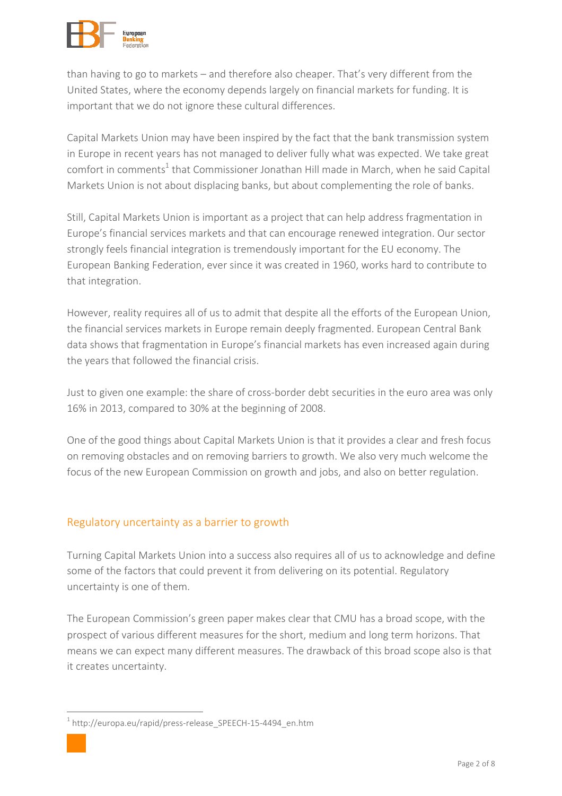

than having to go to markets – and therefore also cheaper. That's very different from the United States, where the economy depends largely on financial markets for funding. It is important that we do not ignore these cultural differences.

Capital Markets Union may have been inspired by the fact that the bank transmission system in Europe in recent years has not managed to deliver fully what was expected. We take great comfort in comments<sup>1</sup> that Commissioner Jonathan Hill made in March, when he said Capital Markets Union is not about displacing banks, but about complementing the role of banks.

Still, Capital Markets Union is important as a project that can help address fragmentation in Europe's financial services markets and that can encourage renewed integration. Our sector strongly feels financial integration is tremendously important for the EU economy. The European Banking Federation, ever since it was created in 1960, works hard to contribute to that integration.

However, reality requires all of us to admit that despite all the efforts of the European Union, the financial services markets in Europe remain deeply fragmented. European Central Bank data shows that fragmentation in Europe's financial markets has even increased again during the years that followed the financial crisis.

Just to given one example: the share of cross-border debt securities in the euro area was only 16% in 2013, compared to 30% at the beginning of 2008.

One of the good things about Capital Markets Union is that it provides a clear and fresh focus on removing obstacles and on removing barriers to growth. We also very much welcome the focus of the new European Commission on growth and jobs, and also on better regulation.

#### Regulatory uncertainty as a barrier to growth

Turning Capital Markets Union into a success also requires all of us to acknowledge and define some of the factors that could prevent it from delivering on its potential. Regulatory uncertainty is one of them.

The European Commission's green paper makes clear that CMU has a broad scope, with the prospect of various different measures for the short, medium and long term horizons. That means we can expect many different measures. The drawback of this broad scope also is that it creates uncertainty.

 $\overline{a}$ 

<sup>1</sup> http://europa.eu/rapid/press-release\_SPEECH-15-4494\_en.htm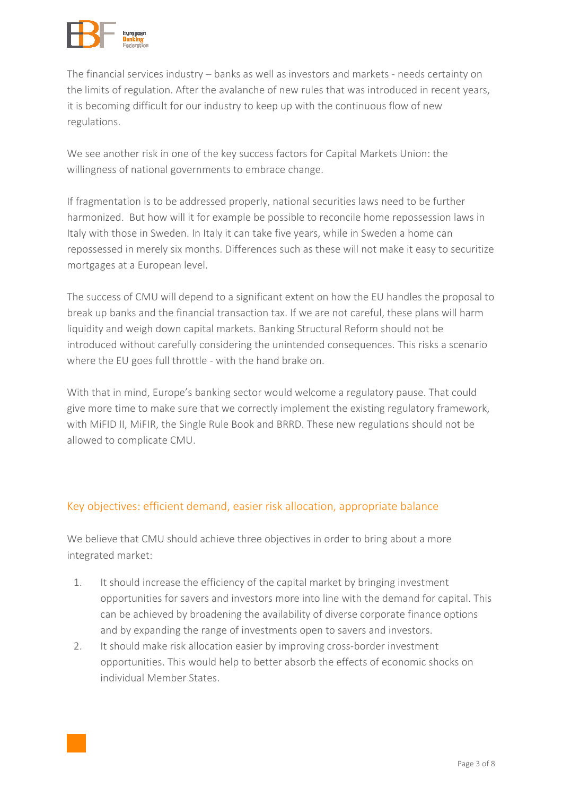

The financial services industry – banks as well as investors and markets - needs certainty on the limits of regulation. After the avalanche of new rules that was introduced in recent years, it is becoming difficult for our industry to keep up with the continuous flow of new regulations.

We see another risk in one of the key success factors for Capital Markets Union: the willingness of national governments to embrace change.

If fragmentation is to be addressed properly, national securities laws need to be further harmonized. But how will it for example be possible to reconcile home repossession laws in Italy with those in Sweden. In Italy it can take five years, while in Sweden a home can repossessed in merely six months. Differences such as these will not make it easy to securitize mortgages at a European level.

The success of CMU will depend to a significant extent on how the EU handles the proposal to break up banks and the financial transaction tax. If we are not careful, these plans will harm liquidity and weigh down capital markets. Banking Structural Reform should not be introduced without carefully considering the unintended consequences. This risks a scenario where the EU goes full throttle - with the hand brake on.

With that in mind, Europe's banking sector would welcome a regulatory pause. That could give more time to make sure that we correctly implement the existing regulatory framework, with MiFID II, MiFIR, the Single Rule Book and BRRD. These new regulations should not be allowed to complicate CMU.

#### Key objectives: efficient demand, easier risk allocation, appropriate balance

We believe that CMU should achieve three objectives in order to bring about a more integrated market:

- 1. It should increase the efficiency of the capital market by bringing investment opportunities for savers and investors more into line with the demand for capital. This can be achieved by broadening the availability of diverse corporate finance options and by expanding the range of investments open to savers and investors.
- 2. It should make risk allocation easier by improving cross-border investment opportunities. This would help to better absorb the effects of economic shocks on individual Member States.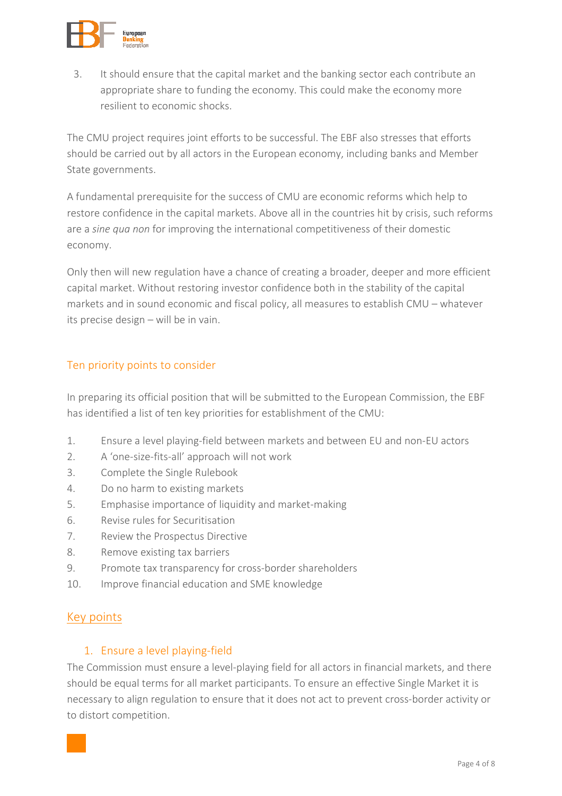

3. It should ensure that the capital market and the banking sector each contribute an appropriate share to funding the economy. This could make the economy more resilient to economic shocks.

The CMU project requires joint efforts to be successful. The EBF also stresses that efforts should be carried out by all actors in the European economy, including banks and Member State governments.

A fundamental prerequisite for the success of CMU are economic reforms which help to restore confidence in the capital markets. Above all in the countries hit by crisis, such reforms are a *sine qua non* for improving the international competitiveness of their domestic economy.

Only then will new regulation have a chance of creating a broader, deeper and more efficient capital market. Without restoring investor confidence both in the stability of the capital markets and in sound economic and fiscal policy, all measures to establish CMU – whatever its precise design – will be in vain.

#### Ten priority points to consider

In preparing its official position that will be submitted to the European Commission, the EBF has identified a list of ten key priorities for establishment of the CMU:

- 1. Ensure a level playing-field between markets and between EU and non-EU actors
- 2. A 'one-size-fits-all' approach will not work
- 3. Complete the Single Rulebook
- 4. Do no harm to existing markets
- 5. Emphasise importance of liquidity and market-making
- 6. Revise rules for Securitisation
- 7. Review the Prospectus Directive
- 8. Remove existing tax barriers
- 9. Promote tax transparency for cross-border shareholders
- 10. Improve financial education and SME knowledge

#### Key points

#### 1. Ensure a level playing-field

The Commission must ensure a level-playing field for all actors in financial markets, and there should be equal terms for all market participants. To ensure an effective Single Market it is necessary to align regulation to ensure that it does not act to prevent cross-border activity or to distort competition.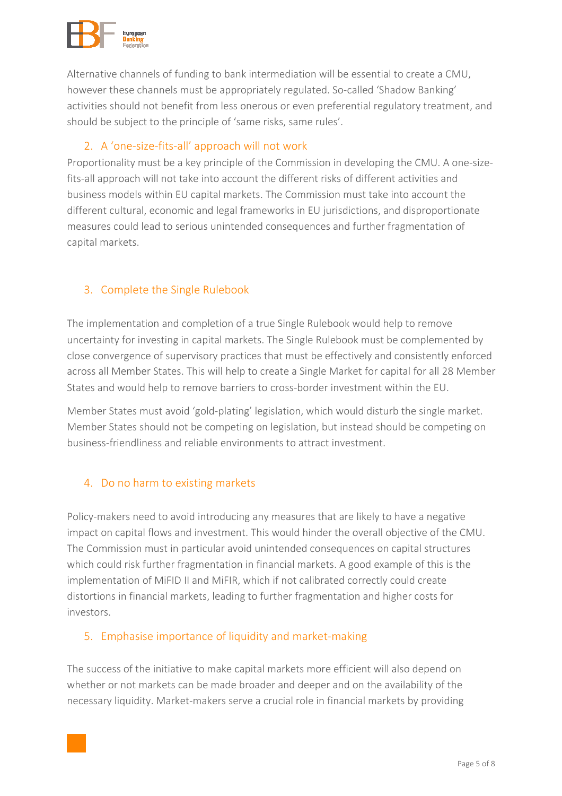

Alternative channels of funding to bank intermediation will be essential to create a CMU, however these channels must be appropriately regulated. So-called 'Shadow Banking' activities should not benefit from less onerous or even preferential regulatory treatment, and should be subject to the principle of 'same risks, same rules'.

#### 2. A 'one-size-fits-all' approach will not work

Proportionality must be a key principle of the Commission in developing the CMU. A one-sizefits-all approach will not take into account the different risks of different activities and business models within EU capital markets. The Commission must take into account the different cultural, economic and legal frameworks in EU jurisdictions, and disproportionate measures could lead to serious unintended consequences and further fragmentation of capital markets.

## 3. Complete the Single Rulebook

The implementation and completion of a true Single Rulebook would help to remove uncertainty for investing in capital markets. The Single Rulebook must be complemented by close convergence of supervisory practices that must be effectively and consistently enforced across all Member States. This will help to create a Single Market for capital for all 28 Member States and would help to remove barriers to cross-border investment within the EU.

Member States must avoid 'gold-plating' legislation, which would disturb the single market. Member States should not be competing on legislation, but instead should be competing on business-friendliness and reliable environments to attract investment.

#### 4. Do no harm to existing markets

Policy-makers need to avoid introducing any measures that are likely to have a negative impact on capital flows and investment. This would hinder the overall objective of the CMU. The Commission must in particular avoid unintended consequences on capital structures which could risk further fragmentation in financial markets. A good example of this is the implementation of MiFID II and MiFIR, which if not calibrated correctly could create distortions in financial markets, leading to further fragmentation and higher costs for investors.

#### 5. Emphasise importance of liquidity and market-making

The success of the initiative to make capital markets more efficient will also depend on whether or not markets can be made broader and deeper and on the availability of the necessary liquidity. Market-makers serve a crucial role in financial markets by providing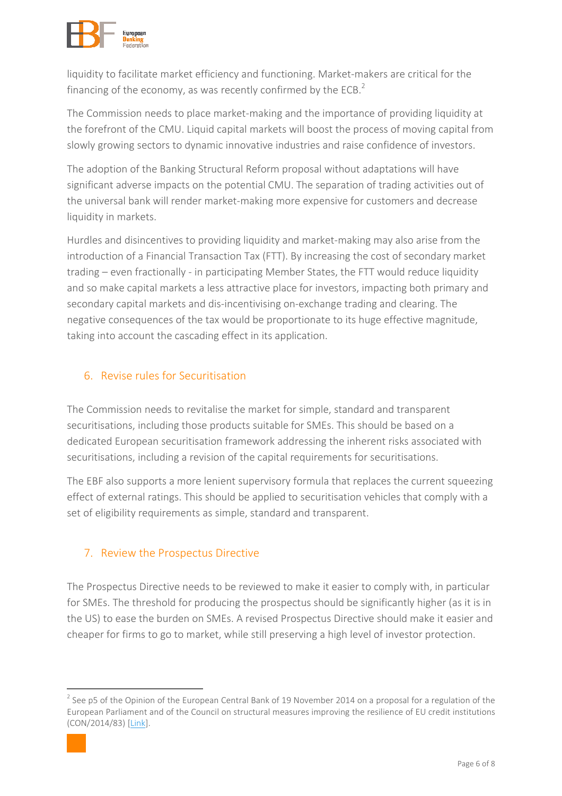

liquidity to facilitate market efficiency and functioning. Market-makers are critical for the financing of the economy, as was recently confirmed by the ECB.<sup>2</sup>

The Commission needs to place market-making and the importance of providing liquidity at the forefront of the CMU. Liquid capital markets will boost the process of moving capital from slowly growing sectors to dynamic innovative industries and raise confidence of investors.

The adoption of the Banking Structural Reform proposal without adaptations will have significant adverse impacts on the potential CMU. The separation of trading activities out of the universal bank will render market-making more expensive for customers and decrease liquidity in markets.

Hurdles and disincentives to providing liquidity and market-making may also arise from the introduction of a Financial Transaction Tax (FTT). By increasing the cost of secondary market trading – even fractionally - in participating Member States, the FTT would reduce liquidity and so make capital markets a less attractive place for investors, impacting both primary and secondary capital markets and dis-incentivising on-exchange trading and clearing. The negative consequences of the tax would be proportionate to its huge effective magnitude, taking into account the cascading effect in its application.

## 6. Revise rules for Securitisation

The Commission needs to revitalise the market for simple, standard and transparent securitisations, including those products suitable for SMEs. This should be based on a dedicated European securitisation framework addressing the inherent risks associated with securitisations, including a revision of the capital requirements for securitisations.

The EBF also supports a more lenient supervisory formula that replaces the current squeezing effect of external ratings. This should be applied to securitisation vehicles that comply with a set of eligibility requirements as simple, standard and transparent.

## 7. Review the Prospectus Directive

The Prospectus Directive needs to be reviewed to make it easier to comply with, in particular for SMEs. The threshold for producing the prospectus should be significantly higher (as it is in the US) to ease the burden on SMEs. A revised Prospectus Directive should make it easier and cheaper for firms to go to market, while still preserving a high level of investor protection.

 $^2$  See p5 of the Opinion of the European Central Bank of 19 November 2014 on a proposal for a regulation of the European Parliament and of the Council on structural measures improving the resilience of EU credit institutions (CON/2014/83) [Link].



 $\overline{a}$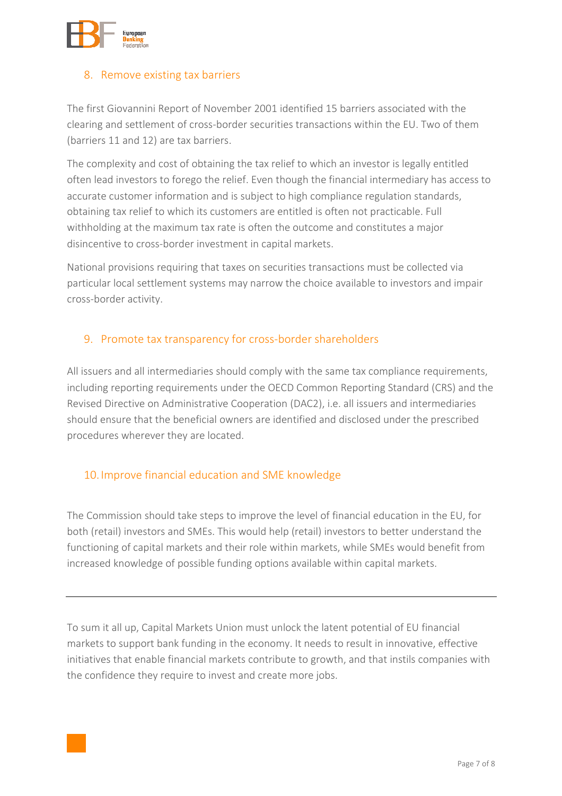

#### 8. Remove existing tax barriers

The first Giovannini Report of November 2001 identified 15 barriers associated with the clearing and settlement of cross-border securities transactions within the EU. Two of them (barriers 11 and 12) are tax barriers.

The complexity and cost of obtaining the tax relief to which an investor is legally entitled often lead investors to forego the relief. Even though the financial intermediary has access to accurate customer information and is subject to high compliance regulation standards, obtaining tax relief to which its customers are entitled is often not practicable. Full withholding at the maximum tax rate is often the outcome and constitutes a major disincentive to cross-border investment in capital markets.

National provisions requiring that taxes on securities transactions must be collected via particular local settlement systems may narrow the choice available to investors and impair cross-border activity.

#### 9. Promote tax transparency for cross-border shareholders

All issuers and all intermediaries should comply with the same tax compliance requirements, including reporting requirements under the OECD Common Reporting Standard (CRS) and the Revised Directive on Administrative Cooperation (DAC2), i.e. all issuers and intermediaries should ensure that the beneficial owners are identified and disclosed under the prescribed procedures wherever they are located.

#### 10. Improve financial education and SME knowledge

The Commission should take steps to improve the level of financial education in the EU, for both (retail) investors and SMEs. This would help (retail) investors to better understand the functioning of capital markets and their role within markets, while SMEs would benefit from increased knowledge of possible funding options available within capital markets.

To sum it all up, Capital Markets Union must unlock the latent potential of EU financial markets to support bank funding in the economy. It needs to result in innovative, effective initiatives that enable financial markets contribute to growth, and that instils companies with the confidence they require to invest and create more jobs.